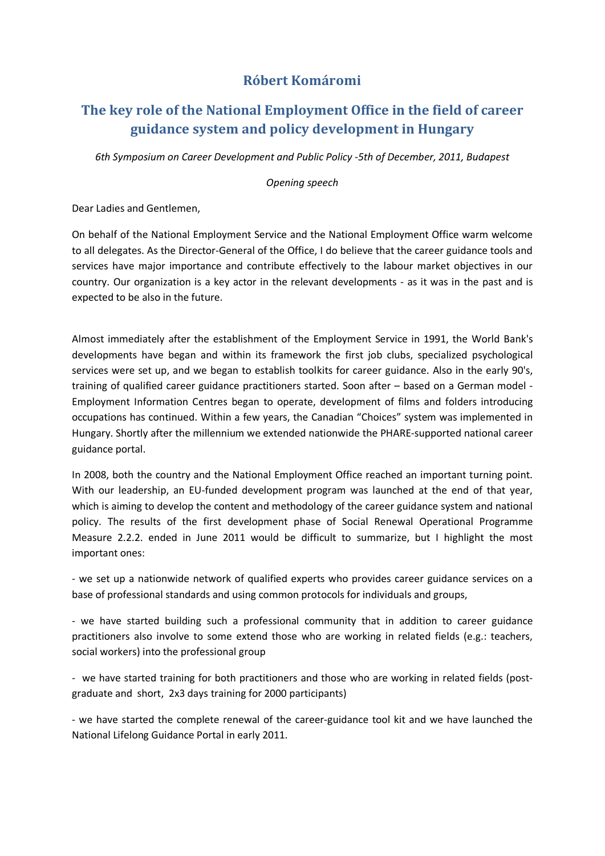## **Róbert Komáromi**

## **The key role of the National Employment Office in the field of career guidance system and policy development in Hungary**

*6th Symposium on Career Development and Public Policy -5th of December, 2011, Budapest*

*Opening speech*

Dear Ladies and Gentlemen,

On behalf of the National Employment Service and the National Employment Office warm welcome to all delegates. As the Director-General of the Office, I do believe that the career guidance tools and services have major importance and contribute effectively to the labour market objectives in our country. Our organization is a key actor in the relevant developments - as it was in the past and is expected to be also in the future.

Almost immediately after the establishment of the Employment Service in 1991, the World Bank's developments have began and within its framework the first job clubs, specialized psychological services were set up, and we began to establish toolkits for career guidance. Also in the early 90's, training of qualified career guidance practitioners started. Soon after – based on a German model - Employment Information Centres began to operate, development of films and folders introducing occupations has continued. Within a few years, the Canadian "Choices" system was implemented in Hungary. Shortly after the millennium we extended nationwide the PHARE-supported national career guidance portal.

In 2008, both the country and the National Employment Office reached an important turning point. With our leadership, an EU-funded development program was launched at the end of that year, which is aiming to develop the content and methodology of the career guidance system and national policy. The results of the first development phase of Social Renewal Operational Programme Measure 2.2.2. ended in June 2011 would be difficult to summarize, but I highlight the most important ones:

- we set up a nationwide network of qualified experts who provides career guidance services on a base of professional standards and using common protocols for individuals and groups,

- we have started building such a professional community that in addition to career guidance practitioners also involve to some extend those who are working in related fields (e.g.: teachers, social workers) into the professional group

- we have started training for both practitioners and those who are working in related fields (postgraduate and short, 2x3 days training for 2000 participants)

- we have started the complete renewal of the career-guidance tool kit and we have launched the National Lifelong Guidance Portal in early 2011.